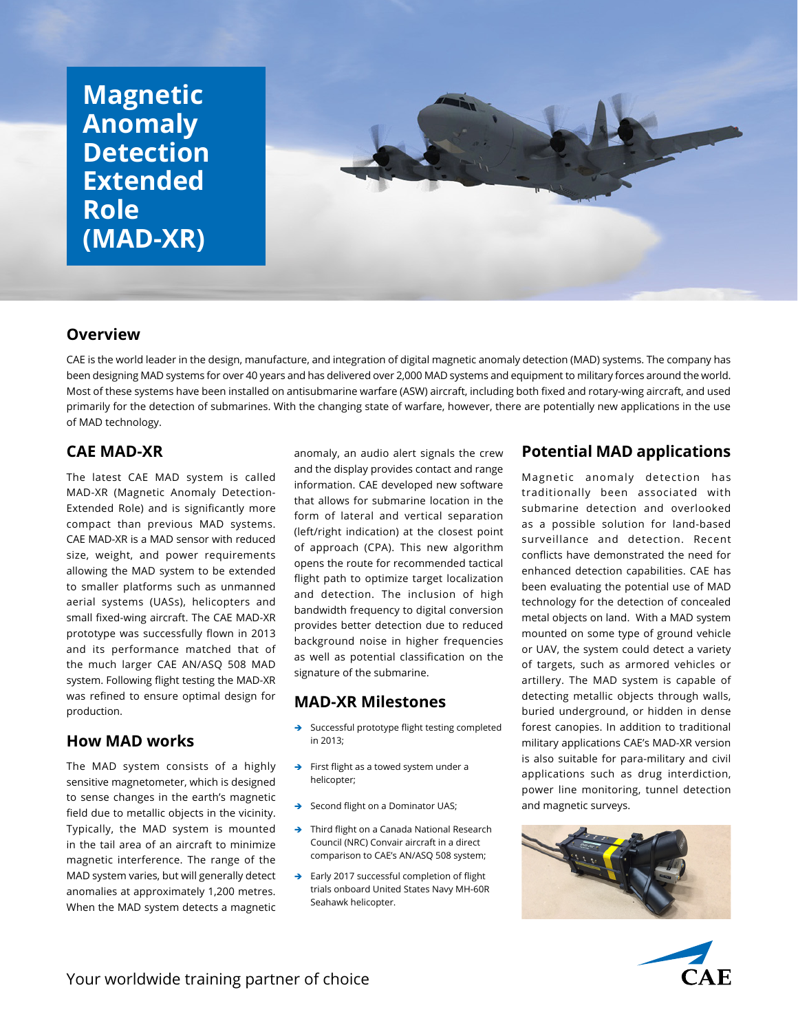# **Magnetic Anomaly Detection Extended Role (MAD-XR)**



#### **Overview**

CAE is the world leader in the design, manufacture, and integration of digital magnetic anomaly detection (MAD) systems. The company has been designing MAD systems for over 40 years and has delivered over 2,000 MAD systems and equipment to military forces around the world. Most of these systems have been installed on antisubmarine warfare (ASW) aircraft, including both fixed and rotary-wing aircraft, and used primarily for the detection of submarines. With the changing state of warfare, however, there are potentially new applications in the use of MAD technology.

# **CAE MAD-XR**

The latest CAE MAD system is called MAD-XR (Magnetic Anomaly Detection-Extended Role) and is significantly more compact than previous MAD systems. CAE MAD-XR is a MAD sensor with reduced size, weight, and power requirements allowing the MAD system to be extended to smaller platforms such as unmanned aerial systems (UASs), helicopters and small fixed-wing aircraft. The CAE MAD-XR prototype was successfully flown in 2013 and its performance matched that of the much larger CAE AN/ASQ 508 MAD system. Following flight testing the MAD-XR was refined to ensure optimal design for production.

# **How MAD works**

The MAD system consists of a highly sensitive magnetometer, which is designed to sense changes in the earth's magnetic field due to metallic objects in the vicinity. Typically, the MAD system is mounted in the tail area of an aircraft to minimize magnetic interference. The range of the MAD system varies, but will generally detect anomalies at approximately 1,200 metres. When the MAD system detects a magnetic

anomaly, an audio alert signals the crew and the display provides contact and range information. CAE developed new software that allows for submarine location in the form of lateral and vertical separation (left/right indication) at the closest point of approach (CPA). This new algorithm opens the route for recommended tactical flight path to optimize target localization and detection. The inclusion of high bandwidth frequency to digital conversion provides better detection due to reduced background noise in higher frequencies as well as potential classification on the signature of the submarine.

#### **MAD-XR Milestones**

- $\rightarrow$  Successful prototype flight testing completed in 2013;
- $\rightarrow$  First flight as a towed system under a helicopter;
- Second flight on a Dominator UAS;
- $\rightarrow$  Third flight on a Canada National Research Council (NRC) Convair aircraft in a direct comparison to CAE's AN/ASQ 508 system;
- $\rightarrow$  Early 2017 successful completion of flight trials onboard United States Navy MH-60R Seahawk helicopter.

# **Potential MAD applications**

Magnetic anomaly detection has traditionally been associated with submarine detection and overlooked as a possible solution for land-based surveillance and detection. Recent conflicts have demonstrated the need for enhanced detection capabilities. CAE has been evaluating the potential use of MAD technology for the detection of concealed metal objects on land. With a MAD system mounted on some type of ground vehicle or UAV, the system could detect a variety of targets, such as armored vehicles or artillery. The MAD system is capable of detecting metallic objects through walls, buried underground, or hidden in dense forest canopies. In addition to traditional military applications CAE's MAD-XR version is also suitable for para-military and civil applications such as drug interdiction, power line monitoring, tunnel detection and magnetic surveys.